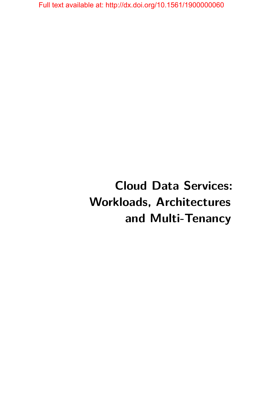# **Cloud Data Services: Workloads, Architectures and Multi-Tenancy**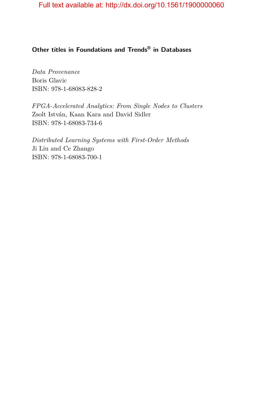### **Other titles in Foundations and Trends® in Databases**

*Data Provenance* Boris Glavic ISBN: 978-1-68083-828-2

*FPGA-Accelerated Analytics: From Single Nodes to Clusters* Zsolt István, Kaan Kara and David Sidler ISBN: 978-1-68083-734-6

*Distributed Learning Systems with First-Order Methods* Ji Liu and Ce Zhango ISBN: 978-1-68083-700-1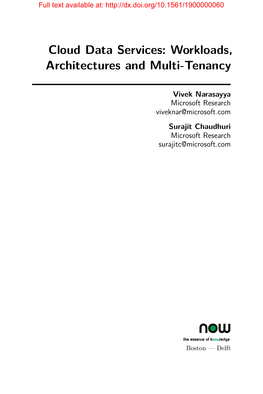# **Cloud Data Services: Workloads, Architectures and Multi-Tenancy**

**Vivek Narasayya** Microsoft Research viveknar@microsoft.com

**Surajit Chaudhuri** Microsoft Research surajitc@microsoft.com

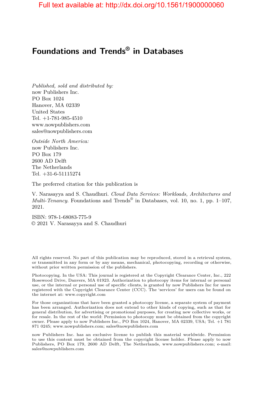## **Foundations and Trends® in Databases**

*Published, sold and distributed by:* now Publishers Inc. PO Box 1024 Hanover, MA 02339 United States Tel. +1-781-985-4510 www.nowpublishers.com sales@nowpublishers.com

*Outside North America:* now Publishers Inc. PO Box 179 2600 AD Delft The Netherlands Tel. +31-6-51115274

The preferred citation for this publication is

V. Narasayya and S. Chaudhuri. *Cloud Data Services: Workloads, Architectures and Multi-Tenancy*. Foundations and Trends® in Databases, vol. 10, no. 1, pp. 1–107, 2021.

ISBN: 978-1-68083-775-9 © 2021 V. Narasayya and S. Chaudhuri

All rights reserved. No part of this publication may be reproduced, stored in a retrieval system, or transmitted in any form or by any means, mechanical, photocopying, recording or otherwise, without prior written permission of the publishers.

Photocopying. In the USA: This journal is registered at the Copyright Clearance Center, Inc., 222 Rosewood Drive, Danvers, MA 01923. Authorization to photocopy items for internal or personal use, or the internal or personal use of specific clients, is granted by now Publishers Inc for users registered with the Copyright Clearance Center (CCC). The 'services' for users can be found on the internet at: www.copyright.com

For those organizations that have been granted a photocopy license, a separate system of payment has been arranged. Authorization does not extend to other kinds of copying, such as that for general distribution, for advertising or promotional purposes, for creating new collective works, or for resale. In the rest of the world: Permission to photocopy must be obtained from the copyright owner. Please apply to now Publishers Inc., PO Box 1024, Hanover, MA 02339, USA; Tel. +1 781 871 0245; www.nowpublishers.com; sales@nowpublishers.com

now Publishers Inc. has an exclusive license to publish this material worldwide. Permission to use this content must be obtained from the copyright license holder. Please apply to now Publishers, PO Box 179, 2600 AD Delft, The Netherlands, www.nowpublishers.com; e-mail: sales@nowpublishers.com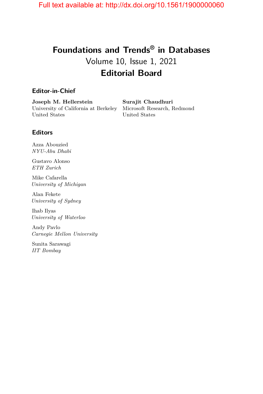# **Foundations and Trends® in Databases** Volume 10, Issue 1, 2021 **Editorial Board**

#### **Editor-in-Chief**

**Joseph M. Hellerstein** University of California at Berkeley Microsoft Research, Redmond United States

**Surajit Chaudhuri** United States

#### **Editors**

Azza Abouzied *NYU-Abu Dhabi*

Gustavo Alonso *ETH Zurich*

Mike Cafarella *University of Michigan*

Alan Fekete *University of Sydney*

Ihab Ilyas *University of Waterloo*

Andy Pavlo *Carnegie Mellon University*

Sunita Sarawagi *IIT Bombay*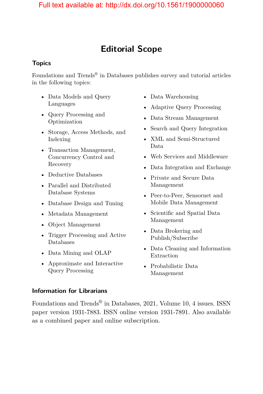## **Editorial Scope**

#### **Topics**

Foundations and Trends<sup>®</sup> in Databases publishes survey and tutorial articles in the following topics:

- Data Models and Query Languages
- Query Processing and Optimization
- Storage, Access Methods, and Indexing
- Transaction Management, Concurrency Control and Recovery
- Deductive Databases
- Parallel and Distributed Database Systems
- Database Design and Tuning
- Metadata Management
- Object Management
- Trigger Processing and Active Databases
- Data Mining and OLAP
- Approximate and Interactive Query Processing
- Data Warehousing
- Adaptive Query Processing
- Data Stream Management
- Search and Query Integration
- XML and Semi-Structured Data
- Web Services and Middleware
- Data Integration and Exchange
- Private and Secure Data Management
- Peer-to-Peer, Sensornet and Mobile Data Management
- Scientific and Spatial Data Management
- Data Brokering and Publish/Subscribe
- Data Cleaning and Information Extraction
- Probabilistic Data Management

#### **Information for Librarians**

Foundations and Trends® in Databases, 2021, Volume 10, 4 issues. ISSN paper version 1931-7883. ISSN online version 1931-7891. Also available as a combined paper and online subscription.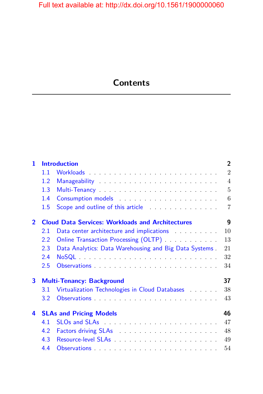# **Contents**

| $\mathbf{1}$   |                                                              | <b>Introduction</b>                                                        | $\overline{2}$ |  |
|----------------|--------------------------------------------------------------|----------------------------------------------------------------------------|----------------|--|
|                | 1.1                                                          |                                                                            | $\overline{2}$ |  |
|                | 1.2                                                          |                                                                            | $\overline{4}$ |  |
|                | 1.3                                                          |                                                                            | $\overline{5}$ |  |
|                | 1.4                                                          |                                                                            | 6              |  |
|                | 1.5                                                          | Scope and outline of this article <b>Scope and outline of this article</b> | 7              |  |
| $\overline{2}$ | 9<br><b>Cloud Data Services: Workloads and Architectures</b> |                                                                            |                |  |
|                | 2.1                                                          |                                                                            | 10             |  |
|                | 2.2                                                          | Online Transaction Processing (OLTP)                                       | 13             |  |
|                | 2.3                                                          | Data Analytics: Data Warehousing and Big Data Systems.                     | 21             |  |
|                | 2.4                                                          |                                                                            | 32             |  |
|                | 2.5                                                          |                                                                            | 34             |  |
| 3              | 37<br><b>Multi-Tenancy: Background</b>                       |                                                                            |                |  |
|                | 3.1                                                          | Virtualization Technologies in Cloud Databases                             | 38             |  |
|                | $3.2^{\circ}$                                                |                                                                            | 43             |  |
| 4              | 46<br><b>SLAs and Pricing Models</b>                         |                                                                            |                |  |
|                | 4.1                                                          |                                                                            | 47             |  |
|                | 4.2                                                          |                                                                            | 48             |  |
|                | 4.3                                                          |                                                                            | 49             |  |
|                | 4.4                                                          |                                                                            | 54             |  |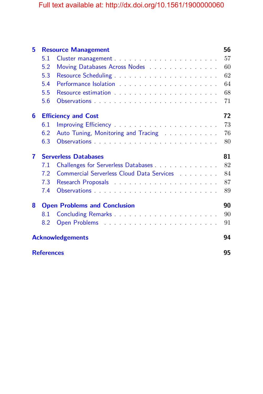| 5 |                                           | <b>Resource Management</b>                                                                                                                                                                                                     | 56 |  |  |
|---|-------------------------------------------|--------------------------------------------------------------------------------------------------------------------------------------------------------------------------------------------------------------------------------|----|--|--|
|   | 5.1                                       |                                                                                                                                                                                                                                | 57 |  |  |
|   | 5.2                                       | Moving Databases Across Nodes <b>Matabases</b> Across Nodes                                                                                                                                                                    | 60 |  |  |
|   | 5.3                                       |                                                                                                                                                                                                                                | 62 |  |  |
|   | 5.4                                       |                                                                                                                                                                                                                                | 64 |  |  |
|   | 5.5                                       | Resource estimation entrance and a series of the series of the series of the series of the series of the series of the series of the series of the series of the series of the series of the series of the series of the serie | 68 |  |  |
|   | 5.6                                       |                                                                                                                                                                                                                                | 71 |  |  |
| 6 | <b>Efficiency and Cost</b>                |                                                                                                                                                                                                                                |    |  |  |
|   | 6.1                                       |                                                                                                                                                                                                                                | 73 |  |  |
|   | 6.2                                       | Auto Tuning, Monitoring and Tracing                                                                                                                                                                                            | 76 |  |  |
|   | 6.3                                       |                                                                                                                                                                                                                                | 80 |  |  |
| 7 | <b>Serverless Databases</b>               |                                                                                                                                                                                                                                |    |  |  |
|   | 7.1                                       |                                                                                                                                                                                                                                | 82 |  |  |
|   | 7.2                                       | Commercial Serverless Cloud Data Services                                                                                                                                                                                      | 84 |  |  |
|   | 7.3                                       |                                                                                                                                                                                                                                | 87 |  |  |
|   | 7.4                                       |                                                                                                                                                                                                                                | 89 |  |  |
| 8 | 90<br><b>Open Problems and Conclusion</b> |                                                                                                                                                                                                                                |    |  |  |
|   | 8.1                                       |                                                                                                                                                                                                                                | 90 |  |  |
|   | 8.2                                       |                                                                                                                                                                                                                                | 91 |  |  |
|   | <b>Acknowledgements</b>                   |                                                                                                                                                                                                                                |    |  |  |
|   | <b>References</b>                         |                                                                                                                                                                                                                                |    |  |  |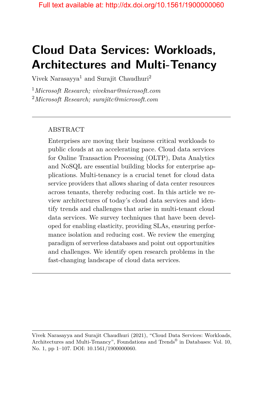# **Cloud Data Services: Workloads, Architectures and Multi-Tenancy**

Vivek Narasayya<sup>1</sup> and Surajit Chaudhuri<sup>2</sup>

<sup>1</sup>*Microsoft Research; viveknar@microsoft.com* <sup>2</sup>*Microsoft Research; surajitc@microsoft.com*

#### ABSTRACT

Enterprises are moving their business critical workloads to public clouds at an accelerating pace. Cloud data services for Online Transaction Processing (OLTP), Data Analytics and NoSQL are essential building blocks for enterprise applications. Multi-tenancy is a crucial tenet for cloud data service providers that allows sharing of data center resources across tenants, thereby reducing cost. In this article we review architectures of today's cloud data services and identify trends and challenges that arise in multi-tenant cloud data services. We survey techniques that have been developed for enabling elasticity, providing SLAs, ensuring performance isolation and reducing cost. We review the emerging paradigm of serverless databases and point out opportunities and challenges. We identify open research problems in the fast-changing landscape of cloud data services.

Vivek Narasayya and Surajit Chaudhuri (2021), "Cloud Data Services: Workloads, Architectures and Multi-Tenancy", Foundations and Trends<sup>®</sup> in Databases: Vol. 10, No. 1, pp 1–107. DOI: 10.1561/1900000060.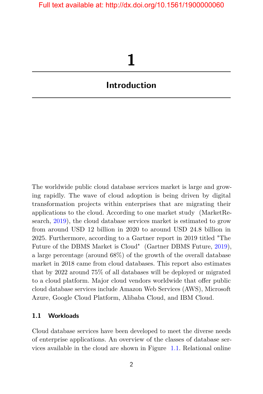# **1**

## <span id="page-9-0"></span>**Introduction**

The worldwide public cloud database services market is large and growing rapidly. The wave of cloud adoption is being driven by digital transformation projects within enterprises that are migrating their applications to the cloud. According to one market study (MarketResearch, [2019\)](#page-19-0), the cloud database services market is estimated to grow from around USD 12 billion in 2020 to around USD 24.8 billion in 2025. Furthermore, according to a Gartner report in 2019 titled "The Future of the DBMS Market is Cloud" (Gartner DBMS Future, [2019\)](#page-26-0), a large percentage (around 68%) of the growth of the overall database market in 2018 came from cloud databases. This report also estimates that by 2022 around 75% of all databases will be deployed or migrated to a cloud platform. Major cloud vendors worldwide that offer public cloud database services include Amazon Web Services (AWS), Microsoft Azure, Google Cloud Platform, Alibaba Cloud, and IBM Cloud.

#### <span id="page-9-1"></span>**1.1 Workloads**

Cloud database services have been developed to meet the diverse needs of enterprise applications. An overview of the classes of database services available in the cloud are shown in Figure [1.1.](#page-10-0) Relational online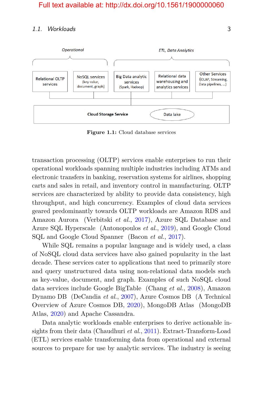#### 1.1. Workloads 3

<span id="page-10-0"></span>

**Figure 1.1:** Cloud database services

transaction processing (OLTP) services enable enterprises to run their operational workloads spanning multiple industries including ATMs and electronic transfers in banking, reservation systems for airlines, shopping carts and sales in retail, and inventory control in manufacturing. OLTP services are characterized by ability to provide data consistency, high throughput, and high concurrency. Examples of cloud data services geared predominantly towards OLTP workloads are Amazon RDS and Amazon Aurora (Verbitski *et al.*, [2017\)](#page-26-1), Azure SQL Database and Azure SQL Hyperscale (Antonopoulos *et al.*, [2019\)](#page-17-0), and Google Cloud SQL and Google Cloud Spanner (Bacon *et al.*, [2017\)](#page-18-0).

While SQL remains a popular language and is widely used, a class of NoSQL cloud data services have also gained popularity in the last decade. These services cater to applications that need to primarily store and query unstructured data using non-relational data models such as key-value, document, and graph. Examples of such NoSQL cloud data services include Google BigTable (Chang *et al.*, [2008\)](#page-18-1), Amazon Dynamo DB (DeCandia *et al.*, [2007\)](#page-20-0), Azure Cosmos DB (A Technical Overview of Azure Cosmos DB, [2020\)](#page-17-1), MongoDB Atlas (MongoDB Atlas, [2020\)](#page-24-0) and Apache Cassandra.

Data analytic workloads enable enterprises to derive actionable insights from their data (Chaudhuri *et al.*, [2011\)](#page-18-2). Extract-Transform-Load (ETL) services enable transforming data from operational and external sources to prepare for use by analytic services. The industry is seeing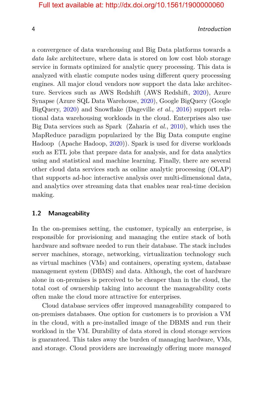4 Introduction

a convergence of data warehousing and Big Data platforms towards a *data lake* architecture, where data is stored on low cost blob storage service in formats optimized for analytic query processing. This data is analyzed with elastic compute nodes using different query processing engines. All major cloud vendors now support the data lake architecture. Services such as AWS Redshift (AWS Redshift, [2020\)](#page-17-2), Azure Synapse (Azure SQL Data Warehouse, [2020\)](#page-18-3), Google BigQuery (Google BigQuery, [2020\)](#page-18-4) and Snowflake (Dageville *et al.*, [2016\)](#page-19-1) support relational data warehousing workloads in the cloud. Enterprises also use Big Data services such as Spark (Zaharia *et al.*, [2010\)](#page-28-0), which uses the MapReduce paradigm popularized by the Big Data compute engine Hadoop (Apache Hadoop, [2020\)](#page-17-3)). Spark is used for diverse workloads such as ETL jobs that prepare data for analysis, and for data analytics using and statistical and machine learning. Finally, there are several other cloud data services such as online analytic processing (OLAP) that supports ad-hoc interactive analysis over multi-dimensional data, and analytics over streaming data that enables near real-time decision making.

#### <span id="page-11-0"></span>**1.2 Manageability**

In the on-premises setting, the customer, typically an enterprise, is responsible for provisioning and managing the entire stack of both hardware and software needed to run their database. The stack includes server machines, storage, networking, virtualization technology such as virtual machines (VMs) and containers, operating system, database management system (DBMS) and data. Although, the cost of hardware alone in on-premises is perceived to be cheaper than in the cloud, the total cost of ownership taking into account the manageability costs often make the cloud more attractive for enterprises.

Cloud database services offer improved manageability compared to on-premises databases. One option for customers is to provision a VM in the cloud, with a pre-installed image of the DBMS and run their workload in the VM. Durability of data stored in cloud storage services is guaranteed. This takes away the burden of managing hardware, VMs, and storage. Cloud providers are increasingly offering more *managed*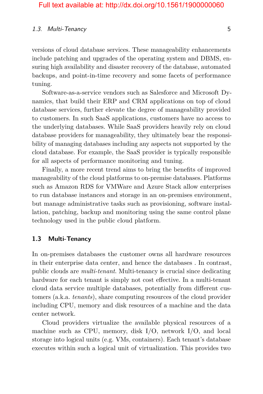#### 1.3. Multi-Tenancy 5

versions of cloud database services. These manageability enhancements include patching and upgrades of the operating system and DBMS, ensuring high availability and disaster recovery of the database, automated backups, and point-in-time recovery and some facets of performance tuning.

Software-as-a-service vendors such as Salesforce and Microsoft Dynamics, that build their ERP and CRM applications on top of cloud database services, further elevate the degree of manageability provided to customers. In such SaaS applications, customers have no access to the underlying databases. While SaaS providers heavily rely on cloud database providers for manageability, they ultimately bear the responsibility of managing databases including any aspects not supported by the cloud database. For example, the SaaS provider is typically responsible for all aspects of performance monitoring and tuning.

Finally, a more recent trend aims to bring the benefits of improved manageability of the cloud platforms to on-premise databases. Platforms such as Amazon RDS for VMWare and Azure Stack allow enterprises to run database instances and storage in an on-premises environment, but manage administrative tasks such as provisioning, software installation, patching, backup and monitoring using the same control plane technology used in the public cloud platform.

#### <span id="page-12-0"></span>**1.3 Multi-Tenancy**

In on-premises databases the customer owns all hardware resources in their enterprise data center, and hence the databases . In contrast, public clouds are *multi-tenant*. Multi-tenancy is crucial since dedicating hardware for each tenant is simply not cost effective. In a multi-tenant cloud data service multiple databases, potentially from different customers (a.k.a. *tenants*), share computing resources of the cloud provider including CPU, memory and disk resources of a machine and the data center network.

Cloud providers virtualize the available physical resources of a machine such as CPU, memory, disk I/O, network I/O, and local storage into logical units (e.g. VMs, containers). Each tenant's database executes within such a logical unit of virtualization. This provides two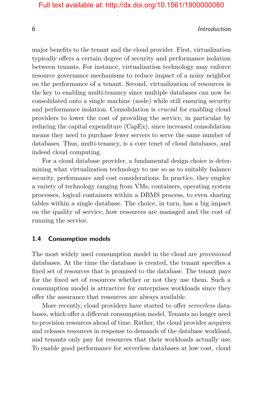#### 6 Introduction

major benefits to the tenant and the cloud provider. First, virtualization typically offers a certain degree of security and performance isolation between tenants. For instance, virtualization technology may enforce resource governance mechanisms to reduce impact of a noisy neighbor on the performance of a tenant. Second, virtualization of resources is the key to enabling multi-tenancy since multiple databases can now be consolidated onto a single machine (node) while still ensuring security and performance isolation. Consolidation is *crucial* for enabling cloud providers to lower the cost of providing the service, in particular by reducing the capital expenditure (CapEx), since increased consolidation means they need to purchase fewer servers to serve the same number of databases. Thus, multi-tenancy, is a core tenet of cloud databases, and indeed cloud computing.

For a cloud database provider, a fundamental design choice is determining what virtualization technology to use so as to suitably balance security, performance and cost considerations. In practice, they employ a variety of technology ranging from VMs, containers, operating system processes, logical containers within a DBMS process, to even sharing tables within a single database. The choice, in turn, has a big impact on the quality of service, how resources are managed and the cost of running the service.

#### <span id="page-13-0"></span>**1.4 Consumption models**

The most widely used consumption model in the cloud are *provisioned* databases. At the time the database is created, the tenant specifies a fixed set of resources that is promised to the database. The tenant pays for the fixed set of resources whether or not they use them. Such a consumption model is attractive for enterprises workloads since they offer the assurance that resources are always available.

More recently, cloud providers have started to offer *serverless* databases, which offer a different consumption model. Tenants no longer need to provision resources ahead of time. Rather, the cloud provider acquires and releases resources in response to demands of the database workload, and tenants only pay for resources that their workloads actually use. To enable good performance for serverless databases at low cost, cloud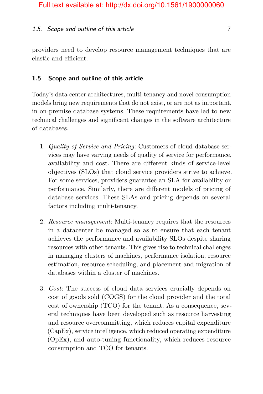#### 1.5. Scope and outline of this article 7

providers need to develop resource management techniques that are elastic and efficient.

#### <span id="page-14-0"></span>**1.5 Scope and outline of this article**

Today's data center architectures, multi-tenancy and novel consumption models bring new requirements that do not exist, or are not as important, in on-premise database systems. These requirements have led to new technical challenges and significant changes in the software architecture of databases.

- 1. *Quality of Service and Pricing*: Customers of cloud database services may have varying needs of quality of service for performance, availability and cost. There are different kinds of service-level objectives (SLOs) that cloud service providers strive to achieve. For some services, providers guarantee an SLA for availability or performance. Similarly, there are different models of pricing of database services. These SLAs and pricing depends on several factors including multi-tenancy.
- 2. *Resource management*: Multi-tenancy requires that the resources in a datacenter be managed so as to ensure that each tenant achieves the performance and availability SLOs despite sharing resources with other tenants. This gives rise to technical challenges in managing clusters of machines, performance isolation, resource estimation, resource scheduling, and placement and migration of databases within a cluster of machines.
- 3. *Cost*: The success of cloud data services crucially depends on cost of goods sold (COGS) for the cloud provider and the total cost of ownership (TCO) for the tenant. As a consequence, several techniques have been developed such as resource harvesting and resource overcommitting, which reduces capital expenditure (CapEx), service intelligence, which reduced operating expenditure (OpEx), and auto-tuning functionality, which reduces resource consumption and TCO for tenants.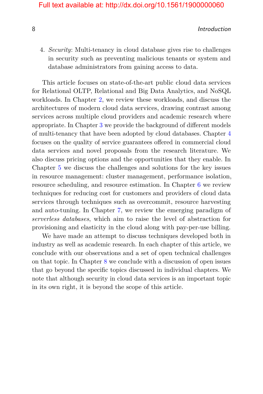8 Introduction and the set of the set of the set of the set of the set of the set of the set of the set of the set of the set of the set of the set of the set of the set of the set of the set of the set of the set of the s

4. *Security*: Multi-tenancy in cloud database gives rise to challenges in security such as preventing malicious tenants or system and database administrators from gaining access to data.

This article focuses on state-of-the-art public cloud data services for Relational OLTP, Relational and Big Data Analytics, and NoSQL workloads. In Chapter [2,](#page--1-0) we review these workloads, and discuss the architectures of modern cloud data services, drawing contrast among services across multiple cloud providers and academic research where appropriate. In Chapter [3](#page--1-0) we provide the background of different models of multi-tenancy that have been adopted by cloud databases. Chapter [4](#page--1-0) focuses on the quality of service guarantees offered in commercial cloud data services and novel proposals from the research literature. We also discuss pricing options and the opportunities that they enable. In Chapter [5](#page--1-0) we discuss the challenges and solutions for the key issues in resource management: cluster management, performance isolation, resource scheduling, and resource estimation. In Chapter [6](#page--1-0) we review techniques for reducing cost for customers and providers of cloud data services through techniques such as overcommit, resource harvesting and auto-tuning. In Chapter [7,](#page--1-0) we review the emerging paradigm of *serverless databases*, which aim to raise the level of abstraction for provisioning and elasticity in the cloud along with pay-per-use billing.

We have made an attempt to discuss techniques developed both in industry as well as academic research. In each chapter of this article, we conclude with our observations and a set of open technical challenges on that topic. In Chapter [8](#page--1-0) we conclude with a discussion of open issues that go beyond the specific topics discussed in individual chapters. We note that although security in cloud data services is an important topic in its own right, it is beyond the scope of this article.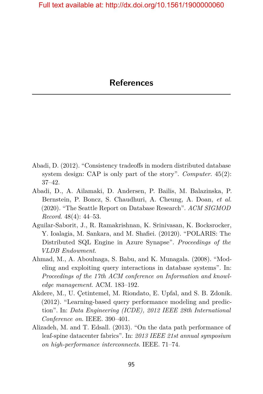- <span id="page-16-0"></span>Abadi, D. (2012). "Consistency tradeoffs in modern distributed database system design: CAP is only part of the story". *Computer*. 45(2): 37–42.
- Abadi, D., A. Ailamaki, D. Andersen, P. Bailis, M. Balazinska, P. Bernstein, P. Boncz, S. Chaudhuri, A. Cheung, A. Doan, *et al.* (2020). "The Seattle Report on Database Research". *ACM SIGMOD Record*. 48(4): 44–53.
- Aguilar-Saborit, J., R. Ramakrishnan, K. Srinivasan, K. Bocksrocker, Y. Ioalagia, M. Sankara, and M. Shafiei. (20120). "POLARIS: The Distributed SQL Engine in Azure Synapse". *Proceedings of the VLDB Endowment*.
- Ahmad, M., A. Aboulnaga, S. Babu, and K. Munagala. (2008). "Modeling and exploiting query interactions in database systems". In: *Proceedings of the 17th ACM conference on Information and knowledge management*. ACM. 183–192.
- Akdere, M., U. Çetintemel, M. Riondato, E. Upfal, and S. B. Zdonik. (2012). "Learning-based query performance modeling and prediction". In: *Data Engineering (ICDE), 2012 IEEE 28th International Conference on*. IEEE. 390–401.
- Alizadeh, M. and T. Edsall. (2013). "On the data path performance of leaf-spine datacenter fabrics". In: *2013 IEEE 21st annual symposium on high-performance interconnects*. IEEE. 71–74.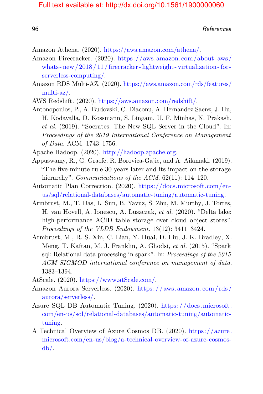es and the contract of the contract of the contract of the contract of the contract of the contract of the contract of the contract of the contract of the contract of the contract of the contract of the contract of the con

- Amazon Athena. (2020). [https://aws.amazon.com/athena/.](https://aws.amazon.com/athena/)
- Amazon Firecracker. (2020). [https://aws.amazon.com/about- aws/](https://aws.amazon.com/about-aws/whats-new/2018/11/firecracker-lightweight-virtualization-for-serverless-computing/) [whats - new / 2018 / 11 / firecracker - lightweight - virtualization - for](https://aws.amazon.com/about-aws/whats-new/2018/11/firecracker-lightweight-virtualization-for-serverless-computing/)  [serverless-computing/.](https://aws.amazon.com/about-aws/whats-new/2018/11/firecracker-lightweight-virtualization-for-serverless-computing/)
- Amazon RDS Multi-AZ. (2020). [https://aws.amazon.com/rds/features/](https://aws.amazon.com/rds/features/multi-az/) [multi-az/.](https://aws.amazon.com/rds/features/multi-az/)
- <span id="page-17-2"></span>AWS Redshift. (2020). [https://aws.amazon.com/redshift/.](https://aws.amazon.com/redshift/)
- <span id="page-17-0"></span>Antonopoulos, P., A. Budovski, C. Diaconu, A. Hernandez Saenz, J. Hu, H. Kodavalla, D. Kossmann, S. Lingam, U. F. Minhas, N. Prakash, *et al.* (2019). "Socrates: The New SQL Server in the Cloud". In: *Proceedings of the 2019 International Conference on Management of Data*. ACM. 1743–1756.
- <span id="page-17-3"></span>Apache Hadoop. (2020). [http://hadoop.apache.org.](http://hadoop.apache.org)
- Appuswamy, R., G. Graefe, R. Borovica-Gajic, and A. Ailamaki. (2019). "The five-minute rule 30 years later and its impact on the storage hierarchy". *Communications of the ACM*. 62(11): 114–120.
- Automatic Plan Correction. (2020). [https://docs.microsoft.com/en](https://docs.microsoft.com/en-us/sql/relational-databases/automatic-tuning/automatic-tuning)[us/sql/relational-databases/automatic-tuning/automatic-tuning.](https://docs.microsoft.com/en-us/sql/relational-databases/automatic-tuning/automatic-tuning)
- Armbrust, M., T. Das, L. Sun, B. Yavuz, S. Zhu, M. Murthy, J. Torres, H. van Hovell, A. Ionescu, A. Łuszczak, *et al.* (2020). "Delta lake: high-performance ACID table storage over cloud object stores". *Proceedings of the VLDB Endowment*. 13(12): 3411–3424.
- Armbrust, M., R. S. Xin, C. Lian, Y. Huai, D. Liu, J. K. Bradley, X. Meng, T. Kaftan, M. J. Franklin, A. Ghodsi, *et al.* (2015). "Spark sql: Relational data processing in spark". In: *Proceedings of the 2015 ACM SIGMOD international conference on management of data*. 1383–1394.
- AtScale. (2020). [https://www.atScale.com/.](https://www.atScale.com/)
- Amazon Aurora Serverless. (2020). [https: / / aws. amazon.com / rds /](https://aws.amazon.com/rds/aurora/serverless/) [aurora/serverless/.](https://aws.amazon.com/rds/aurora/serverless/)
- Azure SQL DB Automatic Tuning. (2020). [https://docs.microsoft.](https://docs.microsoft.com/en-us/sql/relational-databases/automatic-tuning/automatic-tuning) [com/en-us/sql/relational-databases/automatic-tuning/automatic](https://docs.microsoft.com/en-us/sql/relational-databases/automatic-tuning/automatic-tuning)[tuning.](https://docs.microsoft.com/en-us/sql/relational-databases/automatic-tuning/automatic-tuning)
- <span id="page-17-1"></span>A Technical Overview of Azure Cosmos DB. (2020). [https://azure.](https://azure.microsoft.com/en-us/blog/a-technical-overview-of-azure-cosmos-db/) [microsoft.com/en-us/blog/a-technical-overview-of-azure-cosmos](https://azure.microsoft.com/en-us/blog/a-technical-overview-of-azure-cosmos-db/) $db/$ .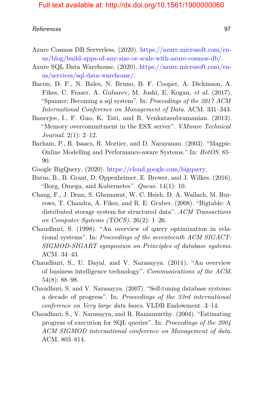- Azure Cosmos DB Serverless. (2020). [https://azure.microsoft.com/en](https://azure.microsoft.com/en-us/blog/build-apps-of-any-size-or-scale-with-azure-cosmos-db/)[us/blog/build-apps-of-any-size-or-scale-with-azure-cosmos-db/.](https://azure.microsoft.com/en-us/blog/build-apps-of-any-size-or-scale-with-azure-cosmos-db/)
- <span id="page-18-3"></span>Azure SQL Data Warehouse. (2020). [https://azure.microsoft.com/en](https://azure.microsoft.com/en-us/services/sql-data-warehouse/)[us/services/sql-data-warehouse/.](https://azure.microsoft.com/en-us/services/sql-data-warehouse/)
- <span id="page-18-0"></span>Bacon, D. F., N. Bales, N. Bruno, B. F. Cooper, A. Dickinson, A. Fikes, C. Fraser, A. Gubarev, M. Joshi, E. Kogan, *et al.* (2017). "Spanner: Becoming a sql system". In: *Proceedings of the 2017 ACM International Conference on Management of Data*. ACM. 331–343.
- Banerjee, I., F. Guo, K. Tati, and R. Venkatasubramanian. (2013). "Memory overcommitment in the ESX server". *VMware Technical Journal*. 2(1): 2–12.
- Barham, P., R. Isaacs, R. Mortier, and D. Narayanan. (2003). "Magpie: Online Modelling and Performance-aware Systems." In: *HotOS*. 85– 90.
- <span id="page-18-4"></span>Google BigQuery. (2020). [https://cloud.google.com/bigquery.](https://cloud.google.com/bigquery)
- Burns, B., B. Grant, D. Oppenheimer, E. Brewer, and J. Wilkes. (2016). "Borg, Omega, and Kubernetes". *Queue*. 14(1): 10.
- <span id="page-18-1"></span>Chang, F., J. Dean, S. Ghemawat, W. C. Hsieh, D. A. Wallach, M. Burrows, T. Chandra, A. Fikes, and R. E. Gruber. (2008). "Bigtable: A distributed storage system for structured data". *ACM Transactions on Computer Systems (TOCS)*. 26(2): 1–26.
- Chaudhuri, S. (1998). "An overview of query optimization in relational systems". In: *Proceedings of the seventeenth ACM SIGACT-SIGMOD-SIGART symposium on Principles of database systems*. ACM. 34–43.
- <span id="page-18-2"></span>Chaudhuri, S., U. Dayal, and V. Narasayya. (2011). "An overview of business intelligence technology". *Communications of the ACM*. 54(8): 88–98.
- Chaudhuri, S. and V. Narasayya. (2007). "Self-tuning database systems: a decade of progress". In: *Proceedings of the 33rd international conference on Very large data bases*. VLDB Endowment. 3–14.
- Chaudhuri, S., V. Narasayya, and R. Ramamurthy. (2004). "Estimating progress of execution for SQL queries". In: *Proceedings of the 2004 ACM SIGMOD international conference on Management of data*. ACM. 803–814.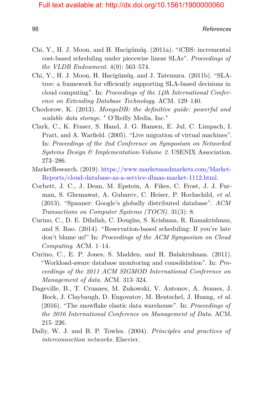- Chi, Y., H. J. Moon, and H. Hacigümüş. (2011a). "iCBS: incremental cost-based scheduling under piecewise linear SLAs". *Proceedings of the VLDB Endowment*. 4(9): 563–574.
- Chi, Y., H. J. Moon, H. Hacigümüş, and J. Tatemura. (2011b). "SLAtree: a framework for efficiently supporting SLA-based decisions in cloud computing". In: *Proceedings of the 14th International Conference on Extending Database Technology*. ACM. 129–140.
- Chodorow, K. (2013). *MongoDB: the definitive guide: powerful and scalable data storage*. " O'Reilly Media, Inc."
- Clark, C., K. Fraser, S. Hand, J. G. Hansen, E. Jul, C. Limpach, I. Pratt, and A. Warfield. (2005). "Live migration of virtual machines". In: *Proceedings of the 2nd Conference on Symposium on Networked Systems Design & Implementation-Volume 2*. USENIX Association. 273–286.
- <span id="page-19-0"></span>MarketResearch. (2019). [https://www.marketsandmarkets.com/Market-](https://www.marketsandmarkets.com/Market-Reports/cloud-database-as-a-service-dbaas-market-1112.html)[Reports/cloud-database-as-a-service-dbaas-market-1112.html.](https://www.marketsandmarkets.com/Market-Reports/cloud-database-as-a-service-dbaas-market-1112.html)
- Corbett, J. C., J. Dean, M. Epstein, A. Fikes, C. Frost, J. J. Furman, S. Ghemawat, A. Gubarev, C. Heiser, P. Hochschild, *et al.* (2013). "Spanner: Google's globally distributed database". *ACM Transactions on Computer Systems (TOCS)*. 31(3): 8.
- Curino, C., D. E. Difallah, C. Douglas, S. Krishnan, R. Ramakrishnan, and S. Rao. (2014). "Reservation-based scheduling: If you're late don't blame us!" In: *Proceedings of the ACM Symposium on Cloud Computing*. ACM. 1–14.
- Curino, C., E. P. Jones, S. Madden, and H. Balakrishnan. (2011). "Workload-aware database monitoring and consolidation". In: *Proceedings of the 2011 ACM SIGMOD International Conference on Management of data*. ACM. 313–324.
- <span id="page-19-1"></span>Dageville, B., T. Cruanes, M. Zukowski, V. Antonov, A. Avanes, J. Bock, J. Claybaugh, D. Engovatov, M. Hentschel, J. Huang, *et al.* (2016). "The snowflake elastic data warehouse". In: *Proceedings of the 2016 International Conference on Management of Data*. ACM. 215–226.
- Dally, W. J. and B. P. Towles. (2004). *Principles and practices of interconnection networks*. Elsevier.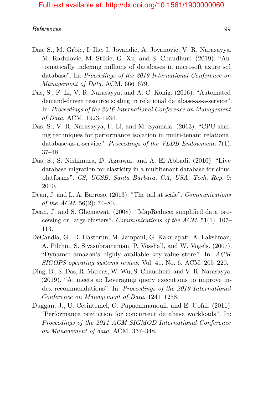- Das, S., M. Grbic, I. Ilic, I. Jovandic, A. Jovanovic, V. R. Narasayya, M. Radulovic, M. Stikic, G. Xu, and S. Chaudhuri. (2019). "Automatically indexing millions of databases in microsoft azure sql database". In: *Proceedings of the 2019 International Conference on Management of Data*. ACM. 666–679.
- Das, S., F. Li, V. R. Narasayya, and A. C. Konig. (2016). "Automated demand-driven resource scaling in relational database-as-a-service". In: *Proceedings of the 2016 International Conference on Management of Data*. ACM. 1923–1934.
- Das, S., V. R. Narasayya, F. Li, and M. Syamala. (2013). "CPU sharing techniques for performance isolation in multi-tenant relational database-as-a-service". *Proceedings of the VLDB Endowment*. 7(1): 37–48.
- Das, S., S. Nishimura, D. Agrawal, and A. El Abbadi. (2010). "Live database migration for elasticity in a multitenant database for cloud platforms". *CS, UCSB, Santa Barbara, CA, USA, Tech. Rep*. 9: 2010.
- Dean, J. and L. A. Barroso. (2013). "The tail at scale". *Communications of the ACM*. 56(2): 74–80.
- Dean, J. and S. Ghemawat. (2008). "MapReduce: simplified data processing on large clusters". *Communications of the ACM*. 51(1): 107– 113.
- <span id="page-20-0"></span>DeCandia, G., D. Hastorun, M. Jampani, G. Kakulapati, A. Lakshman, A. Pilchin, S. Sivasubramanian, P. Vosshall, and W. Vogels. (2007). "Dynamo: amazon's highly available key-value store". In: *ACM SIGOPS operating systems review*. Vol. 41. No. 6. ACM. 205–220.
- Ding, B., S. Das, R. Marcus, W. Wu, S. Chaudhuri, and V. R. Narasayya. (2019). "Ai meets ai: Leveraging query executions to improve index recommendations". In: *Proceedings of the 2019 International Conference on Management of Data*. 1241–1258.
- Duggan, J., U. Cetintemel, O. Papaemmanouil, and E. Upfal. (2011). "Performance prediction for concurrent database workloads". In: *Proceedings of the 2011 ACM SIGMOD International Conference on Management of data*. ACM. 337–348.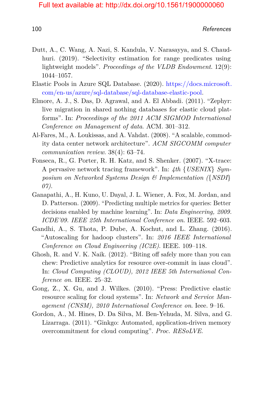- Dutt, A., C. Wang, A. Nazi, S. Kandula, V. Narasayya, and S. Chaudhuri. (2019). "Selectivity estimation for range predicates using lightweight models". *Proceedings of the VLDB Endowment*. 12(9): 1044–1057.
- Elastic Pools in Azure SQL Database. (2020). [https://docs.microsoft.](https://docs.microsoft.com/en-us/azure/sql-database/sql-database-elastic-pool) [com/en-us/azure/sql-database/sql-database-elastic-pool.](https://docs.microsoft.com/en-us/azure/sql-database/sql-database-elastic-pool)
- Elmore, A. J., S. Das, D. Agrawal, and A. El Abbadi. (2011). "Zephyr: live migration in shared nothing databases for elastic cloud platforms". In: *Proceedings of the 2011 ACM SIGMOD International Conference on Management of data*. ACM. 301–312.
- Al-Fares, M., A. Loukissas, and A. Vahdat. (2008). "A scalable, commodity data center network architecture". *ACM SIGCOMM computer communication review*. 38(4): 63–74.
- Fonseca, R., G. Porter, R. H. Katz, and S. Shenker. (2007). "X-trace: A pervasive network tracing framework". In: *4th* {*USENIX*} *Symposium on Networked Systems Design & Implementation (*{*NSDI*} *07)*.
- Ganapathi, A., H. Kuno, U. Dayal, J. L. Wiener, A. Fox, M. Jordan, and D. Patterson. (2009). "Predicting multiple metrics for queries: Better decisions enabled by machine learning". In: *Data Engineering, 2009. ICDE'09. IEEE 25th International Conference on*. IEEE. 592–603.
- Gandhi, A., S. Thota, P. Dube, A. Kochut, and L. Zhang. (2016). "Autoscaling for hadoop clusters". In: *2016 IEEE International Conference on Cloud Engineering (IC2E)*. IEEE. 109–118.
- Ghosh, R. and V. K. Naik. (2012). "Biting off safely more than you can chew: Predictive analytics for resource over-commit in iaas cloud". In: *Cloud Computing (CLOUD), 2012 IEEE 5th International Conference on*. IEEE. 25–32.
- Gong, Z., X. Gu, and J. Wilkes. (2010). "Press: Predictive elastic resource scaling for cloud systems". In: *Network and Service Management (CNSM), 2010 International Conference on*. Ieee. 9–16.
- Gordon, A., M. Hines, D. Da Silva, M. Ben-Yehuda, M. Silva, and G. Lizarraga. (2011). "Ginkgo: Automated, application-driven memory overcommitment for cloud computing". *Proc. RESoLVE*.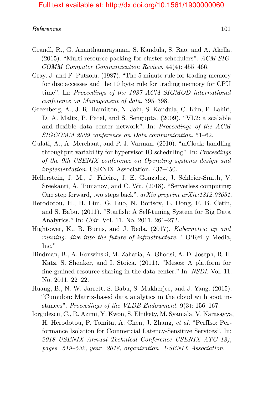#### References and the set of the set of the set of the set of the set of the set of the set of the set of the set of the set of the set of the set of the set of the set of the set of the set of the set of the set of the set o

- Grandl, R., G. Ananthanarayanan, S. Kandula, S. Rao, and A. Akella. (2015). "Multi-resource packing for cluster schedulers". *ACM SIG-COMM Computer Communication Review*. 44(4): 455–466.
- Gray, J. and F. Putzolu. (1987). "The 5 minute rule for trading memory for disc accesses and the 10 byte rule for trading memory for CPU time". In: *Proceedings of the 1987 ACM SIGMOD international conference on Management of data*. 395–398.
- Greenberg, A., J. R. Hamilton, N. Jain, S. Kandula, C. Kim, P. Lahiri, D. A. Maltz, P. Patel, and S. Sengupta. (2009). "VL2: a scalable and flexible data center network". In: *Proceedings of the ACM SIGCOMM 2009 conference on Data communication*. 51–62.
- Gulati, A., A. Merchant, and P. J. Varman. (2010). "mClock: handling throughput variability for hypervisor IO scheduling". In: *Proceedings of the 9th USENIX conference on Operating systems design and implementation*. USENIX Association. 437–450.
- Hellerstein, J. M., J. Faleiro, J. E. Gonzalez, J. Schleier-Smith, V. Sreekanti, A. Tumanov, and C. Wu. (2018). "Serverless computing: One step forward, two steps back". *arXiv preprint arXiv:1812.03651*.
- Herodotou, H., H. Lim, G. Luo, N. Borisov, L. Dong, F. B. Cetin, and S. Babu. (2011). "Starfish: A Self-tuning System for Big Data Analytics." In: *Cidr*. Vol. 11. No. 2011. 261–272.
- Hightower, K., B. Burns, and J. Beda. (2017). *Kubernetes: up and running: dive into the future of infrastructure*. " O'Reilly Media, Inc."
- Hindman, B., A. Konwinski, M. Zaharia, A. Ghodsi, A. D. Joseph, R. H. Katz, S. Shenker, and I. Stoica. (2011). "Mesos: A platform for fine-grained resource sharing in the data center." In: *NSDI*. Vol. 11. No. 2011. 22–22.
- Huang, B., N. W. Jarrett, S. Babu, S. Mukherjee, and J. Yang. (2015). "Cümülön: Matrix-based data analytics in the cloud with spot instances". *Proceedings of the VLDB Endowment*. 9(3): 156–167.
- Iorgulescu, C., R. Azimi, Y. Kwon, S. Elnikety, M. Syamala, V. Narasayya, H. Herodotou, P. Tomita, A. Chen, J. Zhang, *et al.* "PerfIso: Performance Isolation for Commercial Latency-Sensitive Services". In: *2018 USENIX Annual Technical Conference USENIX ATC 18), pages=519–532, year=2018, organization=USENIX Association*.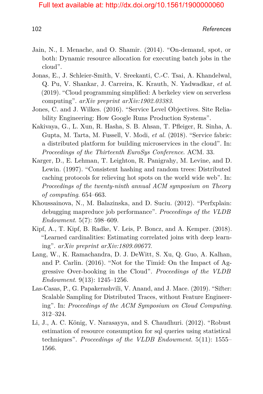102

- Jain, N., I. Menache, and O. Shamir. (2014). "On-demand, spot, or both: Dynamic resource allocation for executing batch jobs in the cloud".
- Jonas, E., J. Schleier-Smith, V. Sreekanti, C.-C. Tsai, A. Khandelwal, Q. Pu, V. Shankar, J. Carreira, K. Krauth, N. Yadwadkar, *et al.* (2019). "Cloud programming simplified: A berkeley view on serverless computing". *arXiv preprint arXiv:1902.03383*.
- Jones, C. and J. Wilkes. (2016). "Service Level Objectives. Site Reliability Engineering: How Google Runs Production Systems".
- Kakivaya, G., L. Xun, R. Hasha, S. B. Ahsan, T. Pfleiger, R. Sinha, A. Gupta, M. Tarta, M. Fussell, V. Modi, *et al.* (2018). "Service fabric: a distributed platform for building microservices in the cloud". In: *Proceedings of the Thirteenth EuroSys Conference*. ACM. 33.
- Karger, D., E. Lehman, T. Leighton, R. Panigrahy, M. Levine, and D. Lewin. (1997). "Consistent hashing and random trees: Distributed caching protocols for relieving hot spots on the world wide web". In: *Proceedings of the twenty-ninth annual ACM symposium on Theory of computing*. 654–663.
- Khoussainova, N., M. Balazinska, and D. Suciu. (2012). "Perfxplain: debugging mapreduce job performance". *Proceedings of the VLDB Endowment*. 5(7): 598–609.
- Kipf, A., T. Kipf, B. Radke, V. Leis, P. Boncz, and A. Kemper. (2018). "Learned cardinalities: Estimating correlated joins with deep learning". *arXiv preprint arXiv:1809.00677*.
- Lang, W., K. Ramachandra, D. J. DeWitt, S. Xu, Q. Guo, A. Kalhan, and P. Carlin. (2016). "Not for the Timid: On the Impact of Aggressive Over-booking in the Cloud". *Proceedings of the VLDB Endowment*. 9(13): 1245–1256.
- Las-Casas, P., G. Papakerashvili, V. Anand, and J. Mace. (2019). "Sifter: Scalable Sampling for Distributed Traces, without Feature Engineering". In: *Proceedings of the ACM Symposium on Cloud Computing*. 312–324.
- Li, J., A. C. König, V. Narasayya, and S. Chaudhuri. (2012). "Robust estimation of resource consumption for sql queries using statistical techniques". *Proceedings of the VLDB Endowment*. 5(11): 1555– 1566.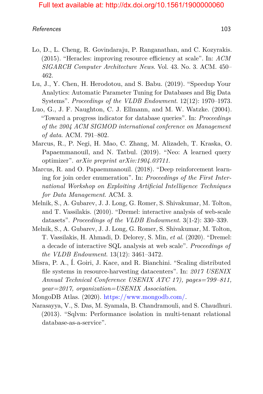#### References and the set of the set of the set of the set of the set of the set of the set of the set of the set of the set of the set of the set of the set of the set of the set of the set of the set of the set of the set o

- Lo, D., L. Cheng, R. Govindaraju, P. Ranganathan, and C. Kozyrakis. (2015). "Heracles: improving resource efficiency at scale". In: *ACM SIGARCH Computer Architecture News*. Vol. 43. No. 3. ACM. 450– 462.
- Lu, J., Y. Chen, H. Herodotou, and S. Babu. (2019). "Speedup Your Analytics: Automatic Parameter Tuning for Databases and Big Data Systems". *Proceedings of the VLDB Endowment*. 12(12): 1970–1973.
- Luo, G., J. F. Naughton, C. J. Ellmann, and M. W. Watzke. (2004). "Toward a progress indicator for database queries". In: *Proceedings of the 2004 ACM SIGMOD international conference on Management of data*. ACM. 791–802.
- Marcus, R., P. Negi, H. Mao, C. Zhang, M. Alizadeh, T. Kraska, O. Papaemmanouil, and N. Tatbul. (2019). "Neo: A learned query optimizer". *arXiv preprint arXiv:1904.03711*.
- Marcus, R. and O. Papaemmanouil. (2018). "Deep reinforcement learning for join order enumeration". In: *Proceedings of the First International Workshop on Exploiting Artificial Intelligence Techniques for Data Management*. ACM. 3.
- Melnik, S., A. Gubarev, J. J. Long, G. Romer, S. Shivakumar, M. Tolton, and T. Vassilakis. (2010). "Dremel: interactive analysis of web-scale datasets". *Proceedings of the VLDB Endowment*. 3(1-2): 330–339.
- Melnik, S., A. Gubarev, J. J. Long, G. Romer, S. Shivakumar, M. Tolton, T. Vassilakis, H. Ahmadi, D. Delorey, S. Min, *et al.* (2020). "Dremel: a decade of interactive SQL analysis at web scale". *Proceedings of the VLDB Endowment*. 13(12): 3461–3472.
- Misra, P. A., Í. Goiri, J. Kace, and R. Bianchini. "Scaling distributed file systems in resource-harvesting datacenters". In: *2017 USENIX Annual Technical Conference USENIX ATC 17), pages=799–811, year=2017, organization=USENIX Association*.
- <span id="page-24-0"></span>MongoDB Atlas. (2020). [https://www.mongodb.com/.](https://www.mongodb.com/)
- Narasayya, V., S. Das, M. Syamala, B. Chandramouli, and S. Chaudhuri. (2013). "Sqlvm: Performance isolation in multi-tenant relational database-as-a-service".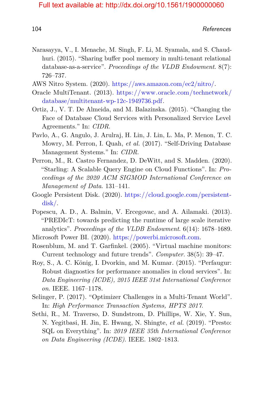104 References

- Narasayya, V., I. Menache, M. Singh, F. Li, M. Syamala, and S. Chaudhuri. (2015). "Sharing buffer pool memory in multi-tenant relational database-as-a-service". *Proceedings of the VLDB Endowment*. 8(7): 726–737.
- AWS Nitro System. (2020). [https://aws.amazon.com/ec2/nitro/.](https://aws.amazon.com/ec2/nitro/)
- Oracle MultiTenant. (2013). [https://www.oracle.com/technetwork/](https://www.oracle.com/technetwork/database/multitenant-wp-12c-1949736.pdf) [database/multitenant-wp-12c-1949736.pdf.](https://www.oracle.com/technetwork/database/multitenant-wp-12c-1949736.pdf)
- Ortiz, J., V. T. De Almeida, and M. Balazinska. (2015). "Changing the Face of Database Cloud Services with Personalized Service Level Agreements." In: *CIDR*.
- Pavlo, A., G. Angulo, J. Arulraj, H. Lin, J. Lin, L. Ma, P. Menon, T. C. Mowry, M. Perron, I. Quah, *et al.* (2017). "Self-Driving Database Management Systems." In: *CIDR*.
- Perron, M., R. Castro Fernandez, D. DeWitt, and S. Madden. (2020). "Starling: A Scalable Query Engine on Cloud Functions". In: *Proceedings of the 2020 ACM SIGMOD International Conference on Management of Data*. 131–141.
- Google Persistent Disk. (2020). [https://cloud.google.com/persistent](https://cloud.google.com/persistent-disk/)[disk/.](https://cloud.google.com/persistent-disk/)
- Popescu, A. D., A. Balmin, V. Ercegovac, and A. Ailamaki. (2013). "PREDIcT: towards predicting the runtime of large scale iterative analytics". *Proceedings of the VLDB Endowment*. 6(14): 1678–1689.

Microsoft Power BI. (2020). [https://powerbi.microsoft.com.](https://powerbi.microsoft.com)

- Rosenblum, M. and T. Garfinkel. (2005). "Virtual machine monitors: Current technology and future trends". *Computer*. 38(5): 39–47.
- Roy, S., A. C. König, I. Dvorkin, and M. Kumar. (2015). "Perfaugur: Robust diagnostics for performance anomalies in cloud services". In: *Data Engineering (ICDE), 2015 IEEE 31st International Conference on*. IEEE. 1167–1178.
- Selinger, P. (2017). "Optimizer Challenges in a Multi-Tenant World". In: *High Performance Transaction Systems, HPTS 2017*.
- Sethi, R., M. Traverso, D. Sundstrom, D. Phillips, W. Xie, Y. Sun, N. Yegitbasi, H. Jin, E. Hwang, N. Shingte, *et al.* (2019). "Presto: SQL on Everything". In: *2019 IEEE 35th International Conference on Data Engineering (ICDE)*. IEEE. 1802–1813.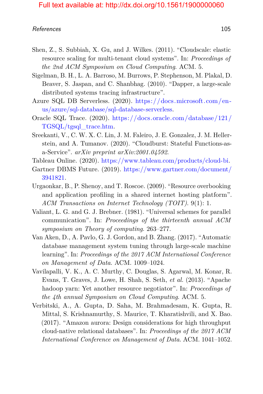#### References and the set of the set of the set of the set of the set of the set of the set of the set of the set of the set of the set of the set of the set of the set of the set of the set of the set of the set of the set o

- Shen, Z., S. Subbiah, X. Gu, and J. Wilkes. (2011). "Cloudscale: elastic resource scaling for multi-tenant cloud systems". In: *Proceedings of the 2nd ACM Symposium on Cloud Computing*. ACM. 5.
- Sigelman, B. H., L. A. Barroso, M. Burrows, P. Stephenson, M. Plakal, D. Beaver, S. Jaspan, and C. Shanbhag. (2010). "Dapper, a large-scale distributed systems tracing infrastructure".
- Azure SQL DB Serverless. (2020). [https://docs.microsoft.com/en](https://docs.microsoft.com/en-us/azure/sql-database/sql-database-serverless)[us/azure/sql-database/sql-database-serverless.](https://docs.microsoft.com/en-us/azure/sql-database/sql-database-serverless)
- Oracle SQL Trace. (2020). [https://docs.oracle.com/database/121/](https://docs.oracle.com/database/121/TGSQL/tgsql_trace.htm) [TGSQL/tgsql\\_trace.htm.](https://docs.oracle.com/database/121/TGSQL/tgsql_trace.htm)
- Sreekanti, V., C. W. X. C. Lin, J. M. Faleiro, J. E. Gonzalez, J. M. Hellerstein, and A. Tumanov. (2020). "Cloudburst: Stateful Functions-asa-Service". *arXiv preprint arXiv:2001.04592*.

Tableau Online. (2020). [https://www.tableau.com/products/cloud-bi.](https://www.tableau.com/products/cloud-bi)

- <span id="page-26-0"></span>Gartner DBMS Future. (2019). [https://www.gartner.com/document/](https://www.gartner.com/document/3941821) [3941821.](https://www.gartner.com/document/3941821)
- Urgaonkar, B., P. Shenoy, and T. Roscoe. (2009). "Resource overbooking and application profiling in a shared internet hosting platform". *ACM Transactions on Internet Technology (TOIT)*. 9(1): 1.
- Valiant, L. G. and G. J. Brebner. (1981). "Universal schemes for parallel communication". In: *Proceedings of the thirteenth annual ACM symposium on Theory of computing*. 263–277.
- Van Aken, D., A. Pavlo, G. J. Gordon, and B. Zhang. (2017). "Automatic database management system tuning through large-scale machine learning". In: *Proceedings of the 2017 ACM International Conference on Management of Data*. ACM. 1009–1024.
- Vavilapalli, V. K., A. C. Murthy, C. Douglas, S. Agarwal, M. Konar, R. Evans, T. Graves, J. Lowe, H. Shah, S. Seth, *et al.* (2013). "Apache hadoop yarn: Yet another resource negotiator". In: *Proceedings of the 4th annual Symposium on Cloud Computing*. ACM. 5.
- <span id="page-26-1"></span>Verbitski, A., A. Gupta, D. Saha, M. Brahmadesam, K. Gupta, R. Mittal, S. Krishnamurthy, S. Maurice, T. Kharatishvili, and X. Bao. (2017). "Amazon aurora: Design considerations for high throughput cloud-native relational databases". In: *Proceedings of the 2017 ACM International Conference on Management of Data*. ACM. 1041–1052.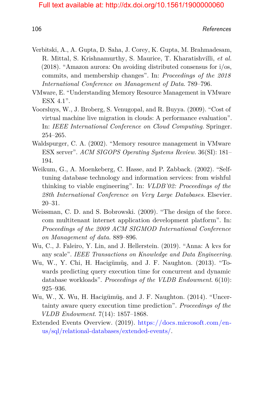- Verbitski, A., A. Gupta, D. Saha, J. Corey, K. Gupta, M. Brahmadesam, R. Mittal, S. Krishnamurthy, S. Maurice, T. Kharatishvilli, *et al.* (2018). "Amazon aurora: On avoiding distributed consensus for i/os, commits, and membership changes". In: *Proceedings of the 2018 International Conference on Management of Data*. 789–796.
- VMware, E. "Understanding Memory Resource Management in VMware ESX 4.1".
- Voorsluys, W., J. Broberg, S. Venugopal, and R. Buyya. (2009). "Cost of virtual machine live migration in clouds: A performance evaluation". In: *IEEE International Conference on Cloud Computing*. Springer. 254–265.
- Waldspurger, C. A. (2002). "Memory resource management in VMware ESX server". *ACM SIGOPS Operating Systems Review*. 36(SI): 181– 194.
- Weikum, G., A. Moenkeberg, C. Hasse, and P. Zabback. (2002). "Selftuning database technology and information services: from wishful thinking to viable engineering". In: *VLDB'02: Proceedings of the 28th International Conference on Very Large Databases*. Elsevier. 20–31.
- Weissman, C. D. and S. Bobrowski. (2009). "The design of the force. com multitenant internet application development platform". In: *Proceedings of the 2009 ACM SIGMOD International Conference on Management of data*. 889–896.
- Wu, C., J. Faleiro, Y. Lin, and J. Hellerstein. (2019). "Anna: A kvs for any scale". *IEEE Transactions on Knowledge and Data Engineering*.
- Wu, W., Y. Chi, H. Hacigümüş, and J. F. Naughton. (2013). "Towards predicting query execution time for concurrent and dynamic database workloads". *Proceedings of the VLDB Endowment*. 6(10): 925–936.
- Wu, W., X. Wu, H. Hacigümüş, and J. F. Naughton. (2014). "Uncertainty aware query execution time prediction". *Proceedings of the VLDB Endowment*. 7(14): 1857–1868.
- Extended Events Overview. (2019). [https://docs.microsoft.com/en](https://docs.microsoft.com/en-us/sql/relational-databases/extended-events/)[us/sql/relational-databases/extended-events/.](https://docs.microsoft.com/en-us/sql/relational-databases/extended-events/)